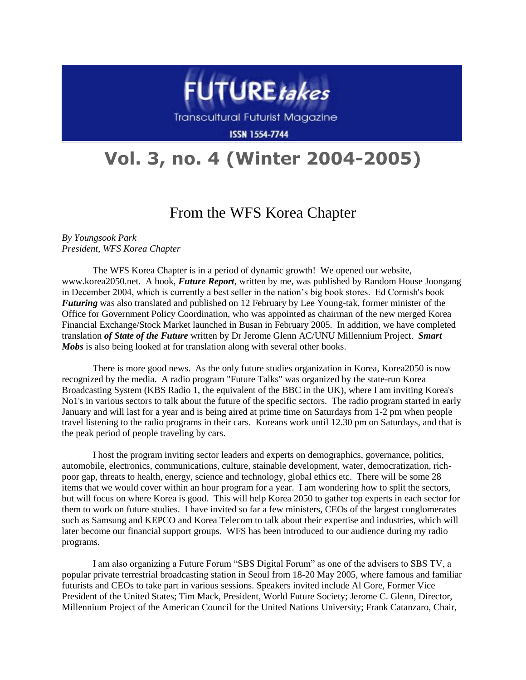

Transcultural Futurist Magazine

**ISSN 1554-7744** 

## **Vol. 3, no. 4 (Winter 2004-2005)**

## From the WFS Korea Chapter

*By Youngsook Park President, WFS Korea Chapter*

The WFS Korea Chapter is in a period of dynamic growth! We opened our website, www.korea2050.net. A book, *Future Report*, written by me, was published by Random House Joongang in December 2004, which is currently a best seller in the nation's big book stores. Ed Cornish's book *Futuring* was also translated and published on 12 February by Lee Young-tak, former minister of the Office for Government Policy Coordination, who was appointed as chairman of the new merged Korea Financial Exchange/Stock Market launched in Busan in February 2005. In addition, we have completed translation *of State of the Future* written by Dr Jerome Glenn AC/UNU Millennium Project. *Smart Mobs* is also being looked at for translation along with several other books.

There is more good news. As the only future studies organization in Korea, Korea2050 is now recognized by the media. A radio program "Future Talks" was organized by the state-run Korea Broadcasting System (KBS Radio 1, the equivalent of the BBC in the UK), where I am inviting Korea's No1's in various sectors to talk about the future of the specific sectors. The radio program started in early January and will last for a year and is being aired at prime time on Saturdays from 1-2 pm when people travel listening to the radio programs in their cars. Koreans work until 12.30 pm on Saturdays, and that is the peak period of people traveling by cars.

I host the program inviting sector leaders and experts on demographics, governance, politics, automobile, electronics, communications, culture, stainable development, water, democratization, richpoor gap, threats to health, energy, science and technology, global ethics etc. There will be some 28 items that we would cover within an hour program for a year. I am wondering how to split the sectors, but will focus on where Korea is good. This will help Korea 2050 to gather top experts in each sector for them to work on future studies. I have invited so far a few ministers, CEOs of the largest conglomerates such as Samsung and KEPCO and Korea Telecom to talk about their expertise and industries, which will later become our financial support groups. WFS has been introduced to our audience during my radio programs.

I am also organizing a Future Forum "SBS Digital Forum" as one of the advisers to SBS TV, a popular private terrestrial broadcasting station in Seoul from 18-20 May 2005, where famous and familiar futurists and CEOs to take part in various sessions. Speakers invited include Al Gore, Former Vice President of the United States; Tim Mack, President, World Future Society; Jerome C. Glenn, Director, Millennium Project of the American Council for the United Nations University; Frank Catanzaro, Chair,